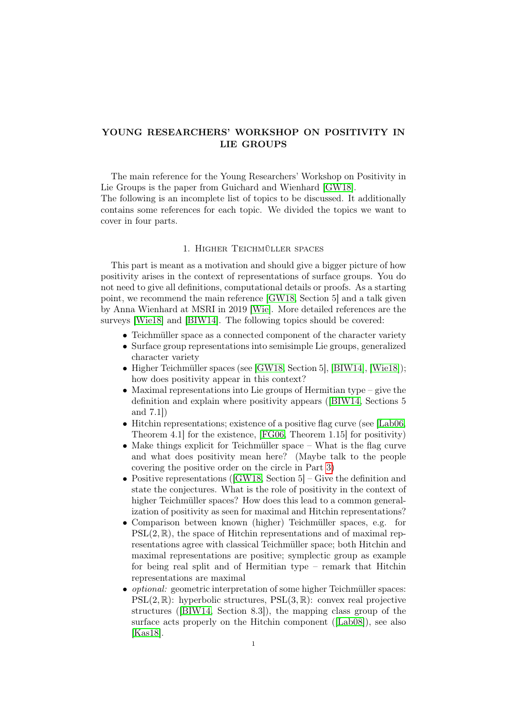# YOUNG RESEARCHERS' WORKSHOP ON POSITIVITY IN LIE GROUPS

The main reference for the Young Researchers' Workshop on Positivity in Lie Groups is the paper from Guichard and Wienhard [\[GW18\]](#page-4-0).

The following is an incomplete list of topics to be discussed. It additionally contains some references for each topic. We divided the topics we want to cover in four parts.

# 1. Higher Teichmüller spaces

<span id="page-0-0"></span>This part is meant as a motivation and should give a bigger picture of how positivity arises in the context of representations of surface groups. You do not need to give all definitions, computational details or proofs. As a starting point, we recommend the main reference [\[GW18,](#page-4-0) Section 5] and a talk given by Anna Wienhard at MSRI in 2019 [\[Wie\]](#page-4-1). More detailed references are the surveys [\[Wie18\]](#page-4-2) and [\[BIW14\]](#page-3-0). The following topics should be covered:

- Teichmüller space as a connected component of the character variety
- Surface group representations into semisimple Lie groups, generalized character variety
- Higher Teichmüller spaces (see [\[GW18,](#page-4-0) Section 5], [\[BIW14\]](#page-3-0), [\[Wie18\]](#page-4-2)); how does positivity appear in this context?
- Maximal representations into Lie groups of Hermitian type give the definition and explain where positivity appears ([\[BIW14,](#page-3-0) Sections 5 and 7.1])
- Hitchin representations; existence of a positive flag curve (see [\[Lab06,](#page-4-3) Theorem 4.1] for the existence, [\[FG06,](#page-4-4) Theorem 1.15] for positivity)
- Make things explicit for Teichmüller space What is the flag curve and what does positivity mean here? (Maybe talk to the people covering the positive order on the circle in Part [3\)](#page-1-0)
- Positive representations ( $[GW18, Section 5]$  $[GW18, Section 5]$  Give the definition and state the conjectures. What is the role of positivity in the context of higher Teichmüller spaces? How does this lead to a common generalization of positivity as seen for maximal and Hitchin representations?
- Comparison between known (higher) Teichmüller spaces, e.g. for  $PSL(2, \mathbb{R})$ , the space of Hitchin representations and of maximal representations agree with classical Teichmüller space; both Hitchin and maximal representations are positive; symplectic group as example for being real split and of Hermitian type – remark that Hitchin representations are maximal
- optional: geometric interpretation of some higher Teichmüller spaces:  $PSL(2,\mathbb{R})$ : hyperbolic structures,  $PSL(3,\mathbb{R})$ : convex real projective structures ([\[BIW14,](#page-3-0) Section 8.3]), the mapping class group of the surface acts properly on the Hitchin component ([\[Lab08\]](#page-4-5)), see also [\[Kas18\]](#page-4-6).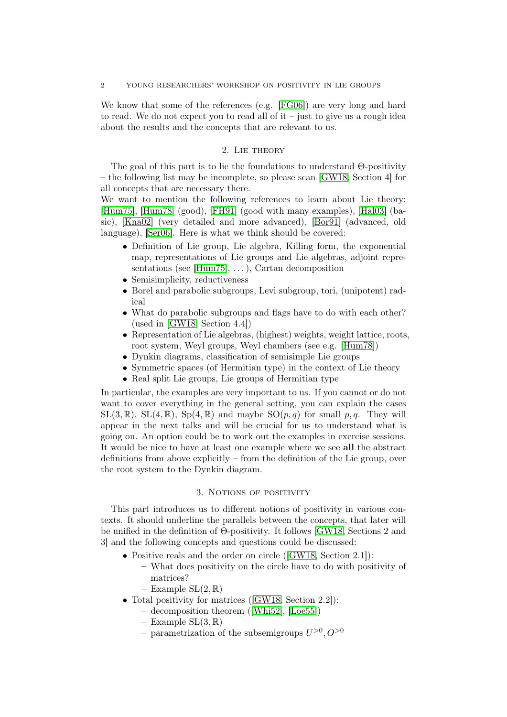We know that some of the references (e.g. [\[FG06\]](#page-4-4)) are very long and hard to read. We do not expect you to read all of it – just to give us a rough idea about the results and the concepts that are relevant to us.

#### 2. Lie theory

The goal of this part is to lie the foundations to understand Θ-positivity – the following list may be incomplete, so please scan [\[GW18,](#page-4-0) Section 4] for all concepts that are necessary there.

We want to mention the following references to learn about Lie theory: [\[Hum75\]](#page-4-7), [\[Hum78\]](#page-4-8) (good), [\[FH91\]](#page-4-9) (good with many examples), [\[Hal03\]](#page-4-10) (basic), [\[Kna02\]](#page-4-11) (very detailed and more advanced), [\[Bor91\]](#page-3-1) (advanced, old language), [\[Ser06\]](#page-4-12). Here is what we think should be covered:

- Definition of Lie group, Lie algebra, Killing form, the exponential map, representations of Lie groups and Lie algebras, adjoint representations (see [\[Hum75\]](#page-4-7), . . . ), Cartan decomposition
- Semisimplicity, reductiveness
- Borel and parabolic subgroups, Levi subgroup, tori, (unipotent) radical
- What do parabolic subgroups and flags have to do with each other? (used in [\[GW18,](#page-4-0) Section 4.4])
- Representation of Lie algebras, (highest) weights, weight lattice, roots, root system, Weyl groups, Weyl chambers (see e.g. [\[Hum78\]](#page-4-8))
- Dynkin diagrams, classification of semisimple Lie groups
- Symmetric spaces (of Hermitian type) in the context of Lie theory
- Real split Lie groups, Lie groups of Hermitian type

In particular, the examples are very important to us. If you cannot or do not want to cover everything in the general setting, you can explain the cases  $SL(3, \mathbb{R})$ ,  $SL(4, \mathbb{R})$ ,  $Sp(4, \mathbb{R})$  and maybe  $SO(p, q)$  for small p, q. They will appear in the next talks and will be crucial for us to understand what is going on. An option could be to work out the examples in exercise sessions. It would be nice to have at least one example where we see all the abstract definitions from above explicitly – from the definition of the Lie group, over the root system to the Dynkin diagram.

### 3. Notions of positivity

<span id="page-1-0"></span>This part introduces us to different notions of positivity in various contexts. It should underline the parallels between the concepts, that later will be unified in the definition of Θ-positivity. It follows [\[GW18,](#page-4-0) Sections 2 and 3] and the following concepts and questions could be discussed:

- Positive reals and the order on circle ([\[GW18,](#page-4-0) Section 2.1]):
	- What does positivity on the circle have to do with positivity of matrices?
	- Example  $SL(2,\mathbb{R})$
- Total positivity for matrices ([\[GW18,](#page-4-0) Section 2.2]):
	- decomposition theorem ([\[Whi52\]](#page-4-13), [\[Loe55\]](#page-4-14))
	- Example  $SL(3, \mathbb{R})$
	- parametrization of the subsemigroups  $U^{>0}$ ,  $O^{>0}$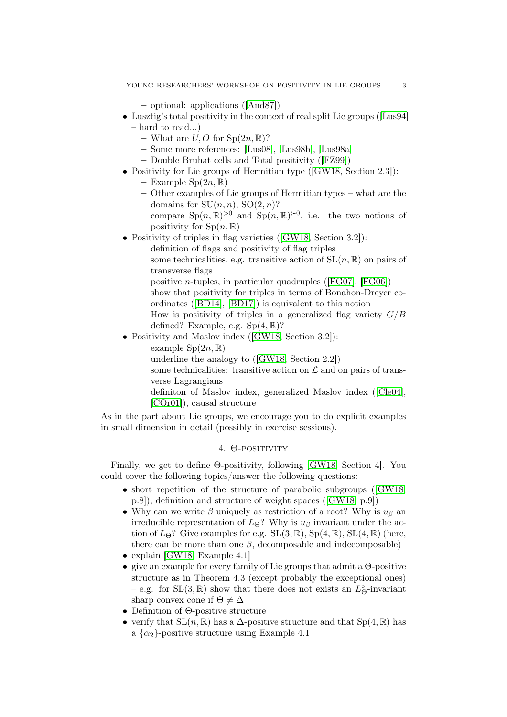– optional: applications ([\[And87\]](#page-3-2))

- Lusztig's total positivity in the context of real split Lie groups ([\[Lus94\]](#page-4-15)
	- hard to read...)
		- What are  $U, O$  for  $\text{Sp}(2n, \mathbb{R})$ ?
		- Some more references: [\[Lus08\]](#page-4-16), [\[Lus98b\]](#page-4-17), [\[Lus98a\]](#page-4-18)
		- Double Bruhat cells and Total positivity ([\[FZ99\]](#page-4-19))
- Positivity for Lie groups of Hermitian type ([\[GW18,](#page-4-0) Section 2.3]):
	- Example  $Sp(2n,\mathbb{R})$
	- Other examples of Lie groups of Hermitian types what are the domains for  $SU(n, n)$ ,  $SO(2, n)$ ?
	- compare  $\text{Sp}(n,\mathbb{R})^{>0}$  and  $\text{Sp}(n,\mathbb{R})^{\geq 0}$ , i.e. the two notions of positivity for  $Sp(n, \mathbb{R})$
- Positivity of triples in flag varieties ([\[GW18,](#page-4-0) Section 3.2]):
	- definition of flags and positivity of flag triples
		- some technicalities, e.g. transitive action of  $SL(n, \mathbb{R})$  on pairs of transverse flags
		- positive n-tuples, in particular quadruples ([\[FG07\]](#page-4-20), [\[FG06\]](#page-4-4))
		- show that positivity for triples in terms of Bonahon-Dreyer coordinates ([\[BD14\]](#page-3-3), [\[BD17\]](#page-3-4)) is equivalent to this notion
		- How is positivity of triples in a generalized flag variety  $G/B$ defined? Example, e.g.  $Sp(4, \mathbb{R})$ ?
- Positivity and Maslov index ([\[GW18,](#page-4-0) Section 3.2]):
	- example  $Sp(2n,\mathbb{R})$
	- underline the analogy to ([\[GW18,](#page-4-0) Section 2.2])
	- some technicalities: transitive action on  $\mathcal L$  and on pairs of transverse Lagrangians
	- definiton of Maslov index, generalized Maslov index ([\[Cle04\]](#page-3-5), [\[COr01\]](#page-4-21)), causal structure

As in the part about Lie groups, we encourage you to do explicit examples in small dimension in detail (possibly in exercise sessions).

## 4. Θ-positivity

Finally, we get to define Θ-positivity, following [\[GW18,](#page-4-0) Section 4]. You could cover the following topics/answer the following questions:

- short repetition of the structure of parabolic subgroups ([\[GW18,](#page-4-0) p.8]), definition and structure of weight spaces ([\[GW18,](#page-4-0) p.9])
- Why can we write  $\beta$  uniquely as restriction of a root? Why is  $u_{\beta}$  an irreducible representation of  $L_{\Theta}$ ? Why is  $u_{\beta}$  invariant under the action of  $L_{\Theta}$ ? Give examples for e.g.  $SL(3, \mathbb{R})$ ,  $Sp(4, \mathbb{R})$ ,  $SL(4, \mathbb{R})$  (here, there can be more than one  $\beta$ , decomposable and indecomposable)
- explain [\[GW18,](#page-4-0) Example 4.1]
- give an example for every family of Lie groups that admit a Θ-positive structure as in Theorem 4.3 (except probably the exceptional ones) – e.g. for  $SL(3, \mathbb{R})$  show that there does not exists an  $L^{\circ}_{\Theta}$ -invariant sharp convex cone if  $\Theta \neq \Delta$
- Definition of Θ-positive structure
- verify that  $SL(n, \mathbb{R})$  has a  $\Delta$ -positive structure and that  $Sp(4, \mathbb{R})$  has a  $\{\alpha_2\}$ -positive structure using Example 4.1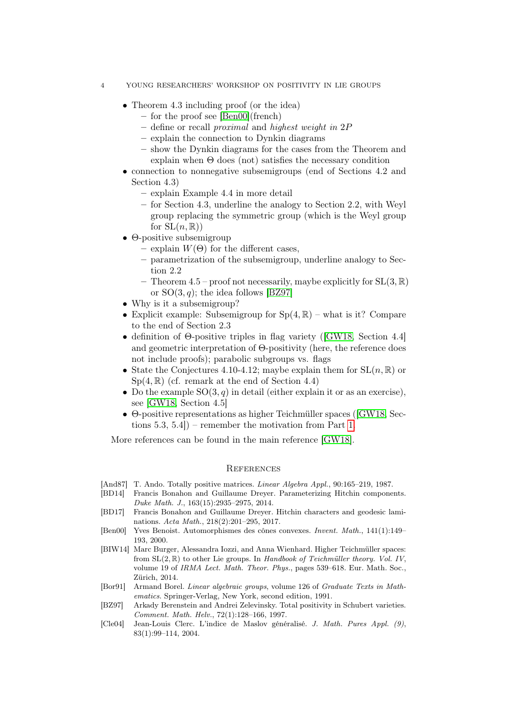- 4 YOUNG RESEARCHERS' WORKSHOP ON POSITIVITY IN LIE GROUPS
	- Theorem 4.3 including proof (or the idea)
		- for the proof see [\[Ben00\]](#page-3-6)(french)
		- define or recall proximal and highest weight in 2P
		- explain the connection to Dynkin diagrams
		- show the Dynkin diagrams for the cases from the Theorem and explain when  $\Theta$  does (not) satisfies the necessary condition
	- connection to nonnegative subsemigroups (end of Sections 4.2 and Section 4.3)
		- explain Example 4.4 in more detail
		- for Section 4.3, underline the analogy to Section 2.2, with Weyl group replacing the symmetric group (which is the Weyl group for  $SL(n, \mathbb{R})$
	- Θ-positive subsemigroup
		- $-$  explain  $W(\Theta)$  for the different cases,
		- parametrization of the subsemigroup, underline analogy to Section 2.2
		- Theorem  $4.5$  proof not necessarily, maybe explicitly for  $SL(3,\mathbb{R})$ or  $SO(3, q)$ ; the idea follows [\[BZ97\]](#page-3-7)
	- Why is it a subsemigroup?
	- Explicit example: Subsemigroup for  $Sp(4, \mathbb{R})$  what is it? Compare to the end of Section 2.3
	- definition of Θ-positive triples in flag variety ([\[GW18,](#page-4-0) Section 4.4] and geometric interpretation of Θ-positivity (here, the reference does not include proofs); parabolic subgroups vs. flags
	- State the Conjectures 4.10-4.12; maybe explain them for  $SL(n, \mathbb{R})$  or  $Sp(4,\mathbb{R})$  (cf. remark at the end of Section 4.4)
	- Do the example  $SO(3, q)$  in detail (either explain it or as an exercise), see [\[GW18,](#page-4-0) Section 4.5]
	- Θ-positive representations as higher Teichmüller spaces ([\[GW18,](#page-4-0) Sections 5.3, 5.4]) – remember the motivation from Part [1.](#page-0-0)

More references can be found in the main reference [\[GW18\]](#page-4-0).

#### **REFERENCES**

- <span id="page-3-2"></span>[And87] T. Ando. Totally positive matrices. Linear Algebra Appl., 90:165–219, 1987.
- <span id="page-3-3"></span>[BD14] Francis Bonahon and Guillaume Dreyer. Parameterizing Hitchin components. Duke Math. J., 163(15):2935–2975, 2014.
- <span id="page-3-4"></span>[BD17] Francis Bonahon and Guillaume Dreyer. Hitchin characters and geodesic laminations. Acta Math., 218(2):201–295, 2017.
- <span id="page-3-6"></span>[Ben00] Yves Benoist. Automorphismes des cônes convexes. Invent. Math., 141(1):149– 193, 2000.
- <span id="page-3-0"></span>[BIW14] Marc Burger, Alessandra Iozzi, and Anna Wienhard. Higher Teichmüller spaces: from  $SL(2,\mathbb{R})$  to other Lie groups. In Handbook of Teichmüller theory. Vol. IV, volume 19 of IRMA Lect. Math. Theor. Phys., pages 539–618. Eur. Math. Soc., Zürich, 2014.
- <span id="page-3-1"></span>[Bor91] Armand Borel. Linear algebraic groups, volume 126 of Graduate Texts in Mathematics. Springer-Verlag, New York, second edition, 1991.
- <span id="page-3-7"></span>[BZ97] Arkady Berenstein and Andrei Zelevinsky. Total positivity in Schubert varieties. Comment. Math. Helv., 72(1):128–166, 1997.
- <span id="page-3-5"></span>[Cle04] Jean-Louis Clerc. L'indice de Maslov généralisé. J. Math. Pures Appl. (9), 83(1):99–114, 2004.